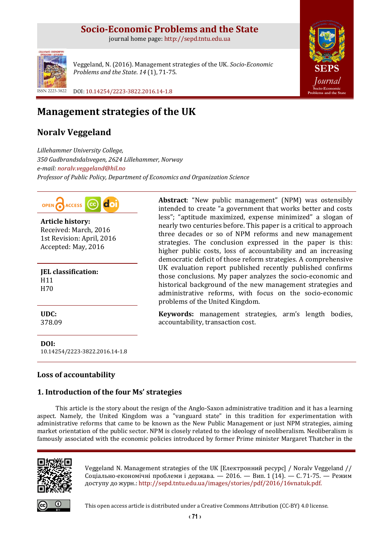# **Socio-Economic Problems and the State**

journal home page: [http://sepd.tntu.edu.ua](http://sepd.tntu.edu.ua/)



Veggeland, N. (2016). Management strategies of the UK. *Socio-Economic Problems and the State*. *14* (1), 71-75.

**[SEPS](http://sepd.tntu.edu.ua/)** *[Journal](http://sepd.tntu.edu.ua/)* **[Socio-Economic](http://sepd.tntu.edu.ua/)  [Problems and the State](http://sepd.tntu.edu.ua/)**

ISSN 2223-3822 DOI[: 10.14254/2223-3822.2016.14-1.8](http://dx.doi.org/10.14254/2223-3822.2016.14-1.8)

# **Management strategies of the UK**

## **Noralv Veggeland**

*Lillehammer University College, 350 Gudbrandsdalsvegen, 2624 Lillehammer, Norway e-mail: [noralv.veggeland@hil.no](mailto:noralv.veggeland@hil.no) Professor of Public Policy, Department of Economics and Organization Science*



**Article history:** Received: March, 2016 1st Revision: April, 2016 Accepted: May, 2016

**JEL classification:** H11 H70

**UDC:** 378.09

**DOI:** 10.14254/2223-3822.2016.14-1.8

## **Loss of accountability**

## **1. Introduction of the four Ms' strategies**

This article is the story about the resign of the Anglo-Saxon administrative tradition and it has a learning aspect. Namely, the United Kingdom was a "vanguard state" in this tradition for experimentation with administrative reforms that came to be known as the New Public Management or just NPM strategies, aiming market orientation of the public sector. NPM is closely related to the ideology of neoliberalism. Neoliberalism is famously associated with the economic policies introduced by former Prime minister [Margaret Thatcher](https://en.wikipedia.org/wiki/Margaret_Thatcher) in the

problems of the United Kingdom.

accountability, transaction cost.



Veggeland N. Management strategies of the UK [Електронний ресурс] / Noralv Veggeland // Соціально-економічні проблеми і держава. — 2016. — Вип. 1 (14). — С. 71-75. — Режим доступу до журн.: [http://sepd.tntu.edu.ua/images/stories/pdf/2016/16vnatuk.pdf.](http://sepd.tntu.edu.ua/images/stories/pdf/2016/16vnatuk.pdf)

**Abstract**: "New public management" (NPM) was ostensibly intended to create "a government that works better and costs less"; "aptitude maximized, expense minimized" a slogan of nearly two centuries before. This paper is a critical to approach three decades or so of NPM reforms and new management strategies. The conclusion expressed in the paper is this: higher public costs, loss of accountability and an increasing democratic deficit of those reform strategies. A comprehensive UK evaluation report published recently published confirms those conclusions. My paper analyzes the socio-economic and historical background of the new management strategies and administrative reforms, with focus on the socio-economic

**Keywords:** management strategies, arm's length bodies,



This open access article is distributed under [a Creative Commons Attribution \(CC-BY\) 4.0 license.](http://creativecommons.org/licenses/by/4.0/)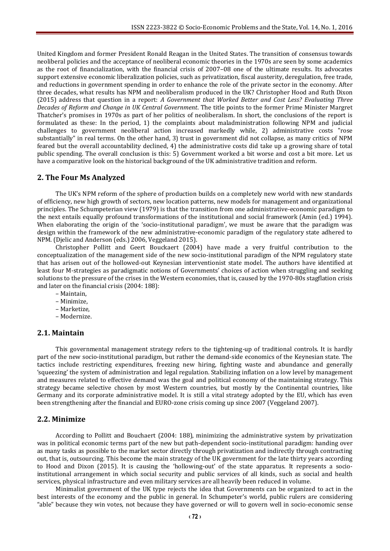United Kingdom and former President [Ronald Reagan](https://en.wikipedia.org/wiki/Ronald_Reagan) in the United States. The transition of consensus towards neoliberal policies and the acceptance of neoliberal economic theories in the 1970s are seen by some academics as the root of [financialization,](https://en.wikipedia.org/wiki/Financialization) with the [financial crisis of 2007](https://en.wikipedia.org/wiki/Financial_crisis_of_2007%E2%80%9308)–08 one of the ultimate results. Its advocates support extensiv[e economic liberalization](https://en.wikipedia.org/wiki/Economic_liberalization) policies, such as [privatization,](https://en.wikipedia.org/wiki/Privatization) [fiscal austerity,](https://en.wikipedia.org/wiki/Fiscal_austerity) [deregulation,](https://en.wikipedia.org/wiki/Deregulation) [free trade,](https://en.wikipedia.org/wiki/Free_trade)  and reductions in [government spending](https://en.wikipedia.org/wiki/Government_spending) in order to enhance the role of the [private sector](https://en.wikipedia.org/wiki/Private_sector) in the [economy.](https://en.wikipedia.org/wiki/Economy) After three decades, what results has NPM and neoliberalism produced in the UK? Christopher Hood and Ruth Dixon (2015) address that question in a report: *A Government that Worked Better and Cost Less? Evaluating Three Decades of Reform and Change in UK Central Government*. The title points to the former Prime Minister Margret Thatcher's promises in 1970s as part of her politics of neoliberalism. In short, the conclusions of the report is formulated as these: In the period, 1) the complaints about maladministration following NPM and judicial challenges to government neoliberal action increased markedly while, 2) administrative costs "rose substantially" in real terms. On the other hand, 3) trust in government did not collapse, as many critics of NPM feared but the overall accountability declined, 4) the administrative costs did take up a growing share of total public spending. The overall conclusion is this: 5) Government worked a bit worse and cost a bit more. Let us have a comparative look on the historical background of the UK administrative tradition and reform.

#### **2. The Four Ms Analyzed**

The UK's NPM reform of the sphere of production builds on a completely new world with new standards of efficiency, new high growth of sectors, new location patterns, new models for management and organizational principles. The Schumpeterian view (1979) is that the transition from one administrative-economic paradigm to the next entails equally profound transformations of the institutional and social framework (Amin (ed.) 1994). When elaborating the origin of the 'socio-institutional paradigm', we must be aware that the paradigm was design within the framework of the new administrative-economic paradigm of the regulatory state adhered to NPM. (Djelic and Anderson (eds.) 2006, Veggeland 2015).

Christopher Pollitt and Geert Bouckaert (2004) have made a very fruitful contribution to the conceptualization of the management side of the new socio-institutional paradigm of the NPM regulatory state that has arisen out of the hollowed-out Keynesian interventionist state model. The authors have identified at least four M-strategies as paradigmatic notions of Governments' choices of action when struggling and seeking solutions to the pressure of the crises in the Western economies, that is, caused by the 1970-80s stagflation crisis and later on the financial crisis (2004: 188):

- Maintain,
- Minimize,
- Marketize,
- Modernize.

#### **2.1. Maintain**

This governmental management strategy refers to the tightening-up of traditional controls. It is hardly part of the new socio-institutional paradigm, but rather the demand-side economics of the Keynesian state. The tactics include restricting expenditures, freezing new hiring, fighting waste and abundance and generally 'squeezing' the system of administration and legal regulation. Stabilizing inflation on a low level by management and measures related to effective demand was the goal and political economy of the maintaining strategy. This strategy became selective chosen by most Western countries, but mostly by the Continental countries, like Germany and its corporate administrative model. It is still a vital strategy adopted by the EU, which has even been strengthening after the financial and EURO-zone crisis coming up since 2007 (Veggeland 2007).

#### **2.2. Minimize**

According to Pollitt and Bouchaert (2004: 188), minimizing the administrative system by privatization was in political economic terms part of the new but path-dependent socio-institutional paradigm: handing over as many tasks as possible to the market sector directly through privatization and indirectly through contracting out, that is, outsourcing. This become the main strategy of the UK government for the late thirty years according to Hood and Dixon (2015). It is causing the 'hollowing-out' of the state apparatus. It represents a socioinstitutional arrangement in which social security and public services of all kinds, such as social and health services, physical infrastructure and even military services are all heavily been reduced in volume.

Minimalist government of the UK type rejects the idea that Governments can be organized to act in the best interests of the economy and the public in general. In Schumpeter's world, public rulers are considering "able" because they win votes, not because they have governed or will to govern well in socio-economic sense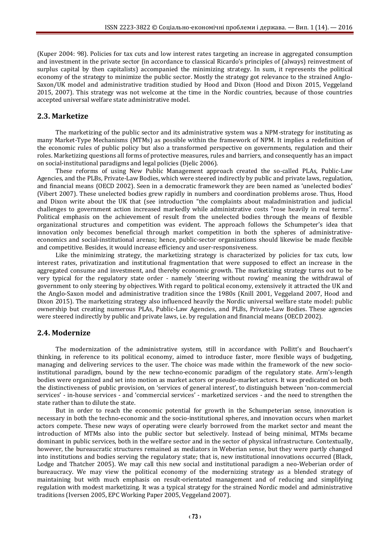(Kuper 2004: 98). Policies for tax cuts and low interest rates targeting an increase in aggregated consumption and investment in the private sector (in accordance to classical Ricardo's principles of (always) reinvestment of surplus capital by then capitalists) accompanied the minimizing strategy. In sum, it represents the political economy of the strategy to minimize the public sector. Mostly the strategy got relevance to the strained Anglo-Saxon/UK model and administrative tradition studied by Hood and Dixon (Hood and Dixon 2015, Veggeland 2015, 2007). This strategy was not welcome at the time in the Nordic countries, because of those countries accepted universal welfare state administrative model.

#### **2.3. Marketize**

The marketizing of the public sector and its administrative system was a NPM-strategy for instituting as many Market-Type Mechanisms (MTMs) as possible within the framework of NPM. It implies a redefinition of the economic rules of public policy but also a transformed perspective on governments, regulation and their roles. Marketizing questions all forms of protective measures, rules and barriers, and consequently has an impact on social-institutional paradigms and legal policies (Djelic 2006).

These reforms of using New Public Management approach created the so-called PLAs, Public-Law Agencies, and the PLBs, Private-Law Bodies, which were steered indirectly by public and private laws, regulation, and financial means (OECD 2002). Seen in a democratic framework they are been named as 'unelected bodies' (Vibert 2007). These unelected bodies grew rapidly in numbers and coordination problems arose. Thus, Hood and Dixon write about the UK that (see introduction "the complaints about maladministration and judicial challenges to government action increased markedly while administrative costs "rose heavily in real terms". Political emphasis on the achievement of result from the unelected bodies through the means of flexible organizational structures and competition was evident. The approach follows the Schumpeter's idea that innovation only becomes beneficial through market competition in both the spheres of administrativeeconomics and social-institutional arenas; hence, public-sector organizations should likewise be made flexible and competitive. Besides, it would increase efficiency and user-responsiveness.

Like the minimizing strategy, the marketizing strategy is characterized by policies for tax cuts, low interest rates, privatization and institutional fragmentation that were supposed to effect an increase in the aggregated consume and investment, and thereby economic growth. The marketizing strategy turns out to be very typical for the regulatory state order - namely 'steering without rowing' meaning the withdrawal of government to only steering by objectives. With regard to political economy, extensively it attracted the UK and the Anglo-Saxon model and administrative tradition since the 1980s (Knill 2001, Veggeland 2007, Hood and Dixon 2015). The marketizing strategy also influenced heavily the Nordic universal welfare state model: public ownership but creating numerous PLAs, Public-Law Agencies, and PLBs, Private-Law Bodies. These agencies were steered indirectly by public and private laws, i.e. by regulation and financial means (OECD 2002).

### **2.4. Modernize**

The modernization of the administrative system, still in accordance with Pollitt's and Bouchaert's thinking, in reference to its political economy, aimed to introduce faster, more flexible ways of budgeting, managing and delivering services to the user. The choice was made within the framework of the new socioinstitutional paradigm, bound by the new techno-economic paradigm of the regulatory state. Arm's-length bodies were organized and set into motion as market actors or pseudo-market actors. It was predicated on both the distinctiveness of public provision, on 'services of general interest', to distinguish between 'non-commercial services' - in-house services - and 'commercial services' - marketized services - and the need to strengthen the state rather than to dilute the state.

But in order to reach the economic potential for growth in the Schumpeterian sense, innovation is necessary in both the techno-economic and the socio-institutional spheres, and innovation occurs when market actors compete. These new ways of operating were clearly borrowed from the market sector and meant the introduction of MTMs also into the public sector but selectively. Instead of being minimal, MTMs became dominant in public services, both in the welfare sector and in the sector of physical infrastructure. Contextually, however, the bureaucratic structures remained as mediators in Weberian sense, but they were partly changed into institutions and bodies serving the regulatory state; that is, new institutional innovations occurred (Black, Lodge and Thatcher 2005). We may call this new social and institutional paradigm a neo-Weberian order of bureaucracy. We may view the political economy of the modernizing strategy as a blended strategy of maintaining but with much emphasis on result-orientated management and of reducing and simplifying regulation with modest marketizing. It was a typical strategy for the strained Nordic model and administrative traditions (Iversen 2005, EPC Working Paper 2005, Veggeland 2007).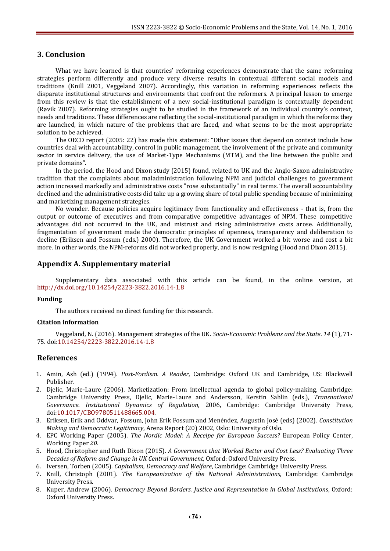### **3. Conclusion**

What we have learned is that countries' reforming experiences demonstrate that the same reforming strategies perform differently and produce very diverse results in contextual different social models and traditions (Knill 2001, Veggeland 2007). Accordingly, this variation in reforming experiences reflects the disparate institutional structures and environments that confront the reformers. A principal lesson to emerge from this review is that the establishment of a new social-institutional paradigm is contextually dependent (Røvik 2007). Reforming strategies ought to be studied in the framework of an individual country's context, needs and traditions. These differences are reflecting the social-institutional paradigm in which the reforms they are launched, in which nature of the problems that are faced, and what seems to be the most appropriate solution to be achieved.

The OECD report (2005: 22) has made this statement: "Other issues that depend on context include how countries deal with accountability, control in public management, the involvement of the private and community sector in service delivery, the use of Market-Type Mechanisms (MTM), and the line between the public and private domains".

In the period, the Hood and Dixon study (2015) found, related to UK and the Anglo-Saxon administrative tradition that the complaints about maladministration following NPM and judicial challenges to government action increased markedly and administrative costs "rose substantially" in real terms. The overall accountability declined and the administrative costs did take up a growing share of total public spending because of minimizing and marketizing management strategies.

No wonder. Because policies acquire legitimacy from functionality and effectiveness - that is, from the output or outcome of executives and from comparative competitive advantages of NPM. These competitive advantages did not occurred in the UK, and mistrust and rising administrative costs arose. Additionally, fragmentation of government made the democratic principles of openness, transparency and deliberation to decline (Eriksen and Fossum (eds.) 2000). Therefore, the UK Government worked a bit worse and cost a bit more. In other words, the NPM-reforms did not worked properly, and is now resigning (Hood and Dixon 2015).

#### **Appendix A. Supplementary material**

Supplementary data associated with this article can be found, in the online version, at <http://dx.doi.org/10.14254/2223-3822.2016.14-1.8>

#### **Funding**

The authors received no direct funding for this research.

#### **Citation information**

Veggeland, N. (2016). Management strategies of the UK. *Socio-Economic Problems and the State*. *14* (1), 71- 75. [doi:10.14254/2223-3822.2016.14-1.8](http://dx.doi.org/10.14254/2223-3822.2016.14-1.8)

#### **References**

- 1. Amin, Ash (ed.) (1994). *Post-Fordism. A Reader*, Cambridge: Oxford UK and Cambridge, US: Blackwell Publisher.
- 2. Djelic, Marie-Laure (2006). Marketization: From intellectual agenda to global policy-making, Cambridge: Cambridge University Press, Djelic, Marie-Laure and Andersson, Kerstin Sahlin (eds.), *Transnational Governance. Institutional Dynamics of Regulation*, 2006, Cambridge: Cambridge University Press, [doi:10.1017/CBO9780511488665.004.](http://dx.doi.org/10.1017/CBO9780511488665.004)
- 3. Eriksen, Erik and Oddvar, Fossum, John Erik Fossum and Menéndez, Augustin José (eds) (2002). *Constitution Making and Democratic Legitimacy*, Arena Report (20) 2002, Oslo: University of Oslo.
- 4. EPC Working Paper (2005). *The Nordic Model: A Receipe for European Success?* European Policy Center, Working Paper *20*.
- 5. Hood, Christopher and Ruth Dixon (2015). *A Government that Worked Better and Cost Less? Evaluating Three Decades of Reform and Change in UK Central Government*, Oxford: Oxford University Press.
- 6. Iversen, Torben (2005). *Capitalism, Democracy and Welfare*, Cambridge: Cambridge University Press.
- 7. Knill, Christoph (2001). *The Europeanization of the National Administrations*, Cambridge: Cambridge University Press.
- 8. Kuper, Andrew (2006). *Democracy Beyond Borders. Justice and Representation in Global Institutions*, Oxford: Oxford University Press.